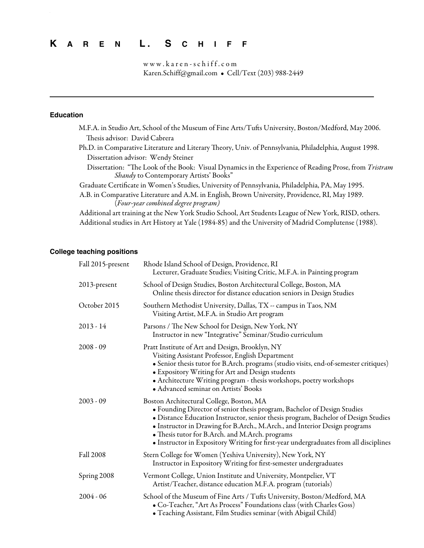# **K A R E N L . S C H I F F**

www.karen-schiff.com Karen.Schiff@gmail.com • Cell/Text (203) 988-2449

. In the second contract of the second contract of the second contract of the second contract of the second co

# **Education**

| M.F.A. in Studio Art, School of the Museum of Fine Arts/Tufts University, Boston/Medford, May 2006.                                              |
|--------------------------------------------------------------------------------------------------------------------------------------------------|
| Thesis advisor: David Cabrera                                                                                                                    |
| Ph.D. in Comparative Literature and Literary Theory, Univ. of Pennsylvania, Philadelphia, August 1998.                                           |
| Dissertation advisor: Wendy Steiner                                                                                                              |
| Dissertation: "The Look of the Book: Visual Dynamics in the Experience of Reading Prose, from Tristram<br>Shandy to Contemporary Artists' Books" |
| Graduate Certificate in Women's Studies, University of Pennsylvania, Philadelphia, PA, May 1995.                                                 |
| A.B. in Comparative Literature and A.M. in English, Brown University, Providence, RI, May 1989.<br>(Four-year combined degree program)           |
| Additional art training at the New York Studio School, Art Students League of New York, RISD, others.                                            |
| Additional studies in Art History at Yale (1984-85) and the University of Madrid Complutense (1988).                                             |

# **College teaching positions**

| Fall 2015-present | Rhode Island School of Design, Providence, RI<br>Lecturer, Graduate Studies; Visiting Critic, M.F.A. in Painting program                                                                                                                                                                                                                                                                                                             |
|-------------------|--------------------------------------------------------------------------------------------------------------------------------------------------------------------------------------------------------------------------------------------------------------------------------------------------------------------------------------------------------------------------------------------------------------------------------------|
| 2013-present      | School of Design Studies, Boston Architectural College, Boston, MA<br>Online thesis director for distance education seniors in Design Studies                                                                                                                                                                                                                                                                                        |
| October 2015      | Southern Methodist University, Dallas, TX -- campus in Taos, NM<br>Visiting Artist, M.F.A. in Studio Art program                                                                                                                                                                                                                                                                                                                     |
| $2013 - 14$       | Parsons / The New School for Design, New York, NY<br>Instructor in new "Integrative" Seminar/Studio curriculum                                                                                                                                                                                                                                                                                                                       |
| $2008 - 09$       | Pratt Institute of Art and Design, Brooklyn, NY<br>Visiting Assistant Professor, English Department<br>• Senior thesis tutor for B.Arch. programs (studio visits, end-of-semester critiques)<br>• Expository Writing for Art and Design students<br>· Architecture Writing program - thesis workshops, poetry workshops<br>• Advanced seminar on Artists' Books                                                                      |
| $2003 - 09$       | Boston Architectural College, Boston, MA<br>• Founding Director of senior thesis program, Bachelor of Design Studies<br>• Distance Education Instructor, senior thesis program, Bachelor of Design Studies<br>· Instructor in Drawing for B.Arch., M.Arch., and Interior Design programs<br>• Thesis tutor for B.Arch. and M.Arch. programs<br>• Instructor in Expository Writing for first-year undergraduates from all disciplines |
| <b>Fall 2008</b>  | Stern College for Women (Yeshiva University), New York, NY<br>Instructor in Expository Writing for first-semester undergraduates                                                                                                                                                                                                                                                                                                     |
| Spring 2008       | Vermont College, Union Institute and University, Montpelier, VT<br>Artist/Teacher, distance education M.F.A. program (tutorials)                                                                                                                                                                                                                                                                                                     |
| $2004 - 06$       | School of the Museum of Fine Arts / Tufts University, Boston/Medford, MA<br>• Co-Teacher, "Art As Process" Foundations class (with Charles Goss)<br>· Teaching Assistant, Film Studies seminar (with Abigail Child)                                                                                                                                                                                                                  |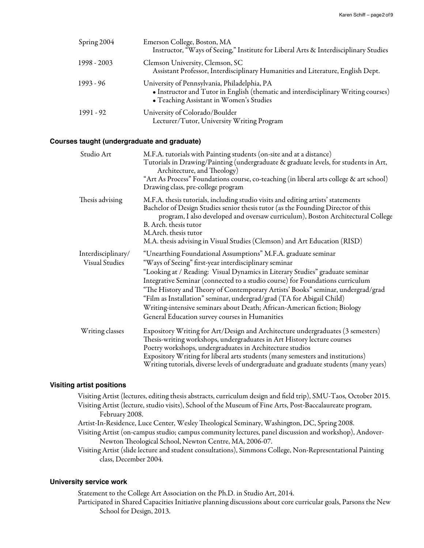| Spring $2004$ | Emerson College, Boston, MA<br>Instructor, "Ways of Seeing," Institute for Liberal Arts & Interdisciplinary Studies                                                           |
|---------------|-------------------------------------------------------------------------------------------------------------------------------------------------------------------------------|
| 1998 - 2003   | Clemson University, Clemson, SC<br>Assistant Professor, Interdisciplinary Humanities and Literature, English Dept.                                                            |
| $1993 - 96$   | University of Pennsylvania, Philadelphia, PA<br>• Instructor and Tutor in English (thematic and interdisciplinary Writing courses)<br>• Teaching Assistant in Women's Studies |
| 1991 - 92     | University of Colorado/Boulder<br>Lecturer/Tutor, University Writing Program                                                                                                  |

## **Courses taught (undergraduate and graduate)**

| Studio Art                                  | M.F.A. tutorials with Painting students (on-site and at a distance)<br>Tutorials in Drawing/Painting (undergraduate & graduate levels, for students in Art,<br>Architecture, and Theology)<br>"Art As Process" Foundations course, co-teaching (in liberal arts college & art school)<br>Drawing class, pre-college program                                                                                                                                                                                                                                                        |
|---------------------------------------------|------------------------------------------------------------------------------------------------------------------------------------------------------------------------------------------------------------------------------------------------------------------------------------------------------------------------------------------------------------------------------------------------------------------------------------------------------------------------------------------------------------------------------------------------------------------------------------|
| Thesis advising                             | M.F.A. thesis tutorials, including studio visits and editing artists' statements<br>Bachelor of Design Studies senior thesis tutor (as the Founding Director of this<br>program, I also developed and oversaw curriculum), Boston Architectural College<br>B. Arch. thesis tutor<br>M.Arch. thesis tutor<br>M.A. thesis advising in Visual Studies (Clemson) and Art Education (RISD)                                                                                                                                                                                              |
| Interdisciplinary/<br><b>Visual Studies</b> | "Unearthing Foundational Assumptions" M.F.A. graduate seminar<br>"Ways of Seeing" first-year interdisciplinary seminar<br>"Looking at / Reading: Visual Dynamics in Literary Studies" graduate seminar<br>Integrative Seminar (connected to a studio course) for Foundations curriculum<br>"The History and Theory of Contemporary Artists' Books" seminar, undergrad/grad<br>"Film as Installation" seminar, undergrad/grad (TA for Abigail Child)<br>Writing-intensive seminars about Death; African-American fiction; Biology<br>General Education survey courses in Humanities |
| Writing classes                             | Expository Writing for Art/Design and Architecture undergraduates (3 semesters)<br>Thesis-writing workshops, undergraduates in Art History lecture courses<br>Poetry workshops, undergraduates in Architecture studios<br>Expository Writing for liberal arts students (many semesters and institutions)<br>Writing tutorials, diverse levels of undergraduate and graduate students (many years)                                                                                                                                                                                  |

## **Visiting artist positions**

Visiting Artist (lectures, editing thesis abstracts, curriculum design and field trip), SMU-Taos, October 2015. Visiting Artist (lecture, studio visits), School of the Museum of Fine Arts, Post-Baccalaureate program, February 2008.

- Artist-In-Residence, Luce Center, Wesley Theological Seminary, Washington, DC, Spring 2008.
- Visiting Artist (on-campus studio; campus community lectures, panel discussion and workshop), Andover-Newton Theological School, Newton Centre, MA, 2006-07.
- Visiting Artist (slide lecture and student consultations), Simmons College, Non-Representational Painting class, December 2004.

#### **University service work**

Statement to the College Art Association on the Ph.D. in Studio Art, 2014. Participated in Shared Capacities Initiative planning discussions about core curricular goals, Parsons the New School for Design, 2013.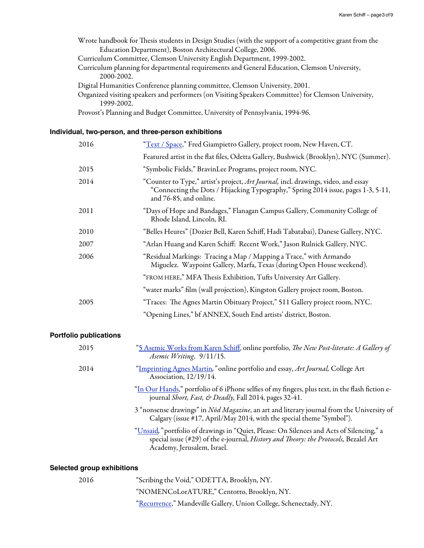Wrote handbook for Thesis students in Design Studies (with the support of a competitive grant from the Education Department), Boston Architectural College, 2006.

Curriculum Committee, Clemson University English Department, 1999-2002.

Curriculum planning for departmental requirements and General Education, Clemson University, 2000-2002.

Digital Humanities Conference planning committee, Clemson University, 2001.

Organized visiting speakers and performers (on Visiting Speakers Committee) for Clemson University, 1999-2002.

Provost's Planning and Budget Committee, University of Pennsylvania, 1994-96.

#### **Individual, two-person, and three-person exhibitions**

| 2016 | "Text / Space," Fred Giampietro Gallery, project room, New Haven, CT.                                                                                                                             |
|------|---------------------------------------------------------------------------------------------------------------------------------------------------------------------------------------------------|
|      | Featured artist in the flat files, Odetta Gallery, Bushwick (Brooklyn), NYC (Summer).                                                                                                             |
| 2015 | "Symbolic Fields," BravinLee Programs, project room, NYC.                                                                                                                                         |
| 2014 | "Counter to Type," artist's project, Art Journal, incl. drawings, video, and essay<br>"Connecting the Dots / Hijacking Typography," Spring 2014 issue, pages 1-3, 5-11,<br>and 76-85, and online. |
| 2011 | "Days of Hope and Bandages," Flanagan Campus Gallery, Community College of<br>Rhode Island, Lincoln, RI.                                                                                          |
| 2010 | "Belles Heures" (Dozier Bell, Karen Schiff, Hadi Tabatabai), Danese Gallery, NYC.                                                                                                                 |
| 2007 | "Arlan Huang and Karen Schiff: Recent Work," Jason Rulnick Gallery, NYC.                                                                                                                          |
| 2006 | "Residual Markings: Tracing a Map / Mapping a Trace," with Armando<br>Miguelez. Waypoint Gallery, Marfa, Texas (during Open House weekend).                                                       |
|      | "FROM HERE," MFA Thesis Exhibition, Tufts University Art Gallery.                                                                                                                                 |
|      | "water marks" film (wall projection), Kingston Gallery project room, Boston.                                                                                                                      |
| 2005 | "Traces: The Agnes Martin Obituary Project," 511 Gallery project room, NYC.                                                                                                                       |
|      | "Opening Lines," bf ANNEX, South End artists' district, Boston.                                                                                                                                   |

## **Portfolio publications**

| 2015 | "5 Asemic Works from Karen Schiff, online portfolio, The New Post-literate: A Gallery of<br>Asemic Writing, 9/11/15.                                                                                            |
|------|-----------------------------------------------------------------------------------------------------------------------------------------------------------------------------------------------------------------|
| 2014 | 'Imprinting Agnes Martin," online portfolio and essay, Art Journal, College Art<br>Association, 12/19/14.                                                                                                       |
|      | "In Our Hands," portfolio of 6 iPhone selfies of my fingers, plus text, in the flash fiction e-<br>journal Short, Fast, & Deadly, Fall 2014, pages 32-41.                                                       |
|      | 3 "nonsense drawings" in <i>Nod Magazine</i> , an art and literary journal from the University of<br>Calgary (issue #17, April/May 2014, with the special theme "Symbol").                                      |
|      | "Unsaid," portfolio of drawings in "Quiet, Please: On Silences and Acts of Silencing," a<br>special issue (#29) of the e-journal, History and Theory: the Protocols, Bezalel Art<br>Academy, Jerusalem, Israel. |
|      |                                                                                                                                                                                                                 |

## **Selected group exhibitions**

| 2016 | "Scribing the Void," ODETTA, Brooklyn, NY.                        |
|------|-------------------------------------------------------------------|
|      | "NOMENCoLorATURE," Centotto, Brooklyn, NY.                        |
|      | "Recurrence," Mandeville Gallery, Union College, Schenectady, NY. |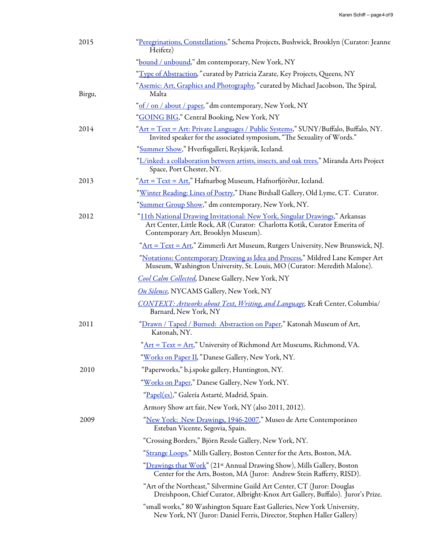| 2015   | "Peregrinations, Constellations," Schema Projects, Bushwick, Brooklyn (Curator: Jeanne<br>Heifetz)                                                                                              |
|--------|-------------------------------------------------------------------------------------------------------------------------------------------------------------------------------------------------|
|        | "bound / unbound," dm contemporary, New York, NY                                                                                                                                                |
|        | "Type of Abstraction," curated by Patricia Zarate, Key Projects, Queens, NY                                                                                                                     |
| Birgu, | "Asemic: Art, Graphics and Photography," curated by Michael Jacobson, The Spiral,<br>Malta                                                                                                      |
|        | "of / on / about / paper," dm contemporary, New York, NY                                                                                                                                        |
|        | "GOING BIG," Central Booking, New York, NY                                                                                                                                                      |
| 2014   | "Art = Text = Art: Private Languages / Public Systems," SUNY/Buffalo, Buffalo, NY.<br>Invited speaker for the associated symposium, "The Sexuality of Words."                                   |
|        | "Summer Show," Hverfisgallerí, Reykjavik, Iceland.                                                                                                                                              |
|        | "L/inked: a collaboration between artists, insects, and oak trees," Miranda Arts Project<br>Space, Port Chester, NY.                                                                            |
| 2013   | "Art = Text = Art," Hafnarbog Museum, Hafnorfjörður, Iceland.                                                                                                                                   |
|        | "Winter Reading: Lines of Poetry," Diane Birdsall Gallery, Old Lyme, CT. Curator.                                                                                                               |
|        | "Summer Group Show," dm contemporary, New York, NY.                                                                                                                                             |
| 2012   | "11th National Drawing Invitational: New York, Singular Drawings," Arkansas<br>Art Center, Little Rock, AR (Curator: Charlotta Kotik, Curator Emerita of<br>Contemporary Art, Brooklyn Museum). |
|        | "Art = Text = Art," Zimmerli Art Museum, Rutgers University, New Brunswick, NJ.                                                                                                                 |
|        | "Notations: Contemporary Drawing as Idea and Process," Mildred Lane Kemper Art<br>Museum, Washington University, St. Louis, MO (Curator: Meredith Malone).                                      |
|        | Cool Calm Collected, Danese Gallery, New York, NY                                                                                                                                               |
|        | On Silence, NYCAMS Gallery, New York, NY                                                                                                                                                        |
|        | <b>CONTEXT: Artworks about Text, Writing, and Language, Kraft Center, Columbia/</b><br>Barnard, New York, NY                                                                                    |
| 2011   | "Drawn / Taped / Burned: Abstraction on Paper," Katonah Museum of Art,<br>Katonah, NY.                                                                                                          |
|        | " $Art = Text = Art$ ," University of Richmond Art Museums, Richmond, VA.                                                                                                                       |
|        | "Works on Paper II, "Danese Gallery, New York, NY.                                                                                                                                              |
| 2010   | "Paperworks," b.j.spoke gallery, Huntington, NY.                                                                                                                                                |
|        | "Works on Paper," Danese Gallery, New York, NY.                                                                                                                                                 |
|        | "Papel(es)," Galería Astarté, Madrid, Spain.                                                                                                                                                    |
|        | Armory Show art fair, New York, NY (also 2011, 2012).                                                                                                                                           |
| 2009   | "New York: New Drawings, 1946-2007," Museo de Arte Contemporáneo<br>Esteban Vicente, Segovia, Spain.                                                                                            |
|        | "Crossing Borders," Björn Ressle Gallery, New York, NY.                                                                                                                                         |
|        | "Strange Loops," Mills Gallery, Boston Center for the Arts, Boston, MA.                                                                                                                         |
|        | " <u>Drawings that Work</u> " (21st Annual Drawing Show), Mills Gallery, Boston<br>Center for the Arts, Boston, MA (Juror: Andrew Stein Rafferty, RISD).                                        |
|        | "Art of the Northeast," Silvermine Guild Art Center, CT (Juror: Douglas<br>Dreishpoon, Chief Curator, Albright-Knox Art Gallery, Buffalo). Juror's Prize.                                       |
|        | "small works," 80 Washington Square East Galleries, New York University,<br>New York, NY (Juror: Daniel Ferris, Director, Stephen Haller Gallery)                                               |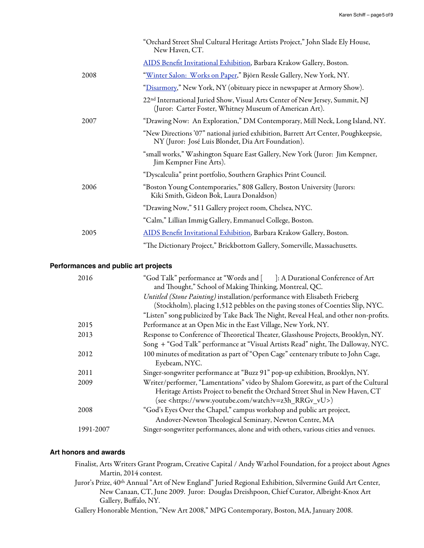|      | "Orchard Street Shul Cultural Heritage Artists Project," John Slade Ely House,<br>New Haven, CT.                                                    |
|------|-----------------------------------------------------------------------------------------------------------------------------------------------------|
|      | AIDS Benefit Invitational Exhibition, Barbara Krakow Gallery, Boston.                                                                               |
| 2008 | <u> "Winter Salon: Works on Paper</u> ," Björn Ressle Gallery, New York, NY.                                                                        |
|      | "Disarmory," New York, NY (obituary piece in newspaper at Armory Show).                                                                             |
|      | 22 <sup>nd</sup> International Juried Show, Visual Arts Center of New Jersey, Summit, NJ<br>(Juror: Carter Foster, Whitney Museum of American Art). |
| 2007 | "Drawing Now: An Exploration," DM Contemporary, Mill Neck, Long Island, NY.                                                                         |
|      | "New Directions '07" national juried exhibition, Barrett Art Center, Poughkeepsie,<br>NY (Juror: José Luis Blondet, Dia Art Foundation).            |
|      | "small works," Washington Square East Gallery, New York (Juror: Jim Kempner,<br>Jim Kempner Fine Arts).                                             |
|      | "Dyscalculia" print portfolio, Southern Graphics Print Council.                                                                                     |
| 2006 | "Boston Young Contemporaries," 808 Gallery, Boston University (Jurors:<br>Kiki Smith, Gideon Bok, Laura Donaldson)                                  |
|      | "Drawing Now," 511 Gallery project room, Chelsea, NYC.                                                                                              |
|      | "Calm," Lillian Immig Gallery, Emmanuel College, Boston.                                                                                            |
| 2005 | AIDS Benefit Invitational Exhibition, Barbara Krakow Gallery, Boston.                                                                               |
|      | "The Dictionary Project," Brickbottom Gallery, Somerville, Massachusetts.                                                                           |

## **Performances and public art projects**

| 2016      | "God Talk" performance at "Words and [ ]: A Durational Conference of Art<br>and Thought," School of Making Thinking, Montreal, QC. |
|-----------|------------------------------------------------------------------------------------------------------------------------------------|
|           | Untitled (Stone Painting) installation/performance with Elisabeth Frieberg                                                         |
|           | (Stockholm), placing 1,512 pebbles on the paving stones of Coenties Slip, NYC.                                                     |
|           | "Listen" song publicized by Take Back The Night, Reveal Heal, and other non-profits.                                               |
| 2015      | Performance at an Open Mic in the East Village, New York, NY.                                                                      |
| 2013      | Response to Conference of Theoretical Theater, Glasshouse Projects, Brooklyn, NY.                                                  |
|           | Song + "God Talk" performance at "Visual Artists Read" night, The Dalloway, NYC.                                                   |
| 2012      | 100 minutes of meditation as part of "Open Cage" centenary tribute to John Cage,                                                   |
|           | Eyebeam, NYC.                                                                                                                      |
| 2011      | Singer-songwriter performance at "Buzz 91" pop-up exhibition, Brooklyn, NY.                                                        |
| 2009      | Writer/performer, "Lamentations" video by Shalom Gorewitz, as part of the Cultural                                                 |
|           | Heritage Artists Project to benefit the Orchard Street Shul in New Haven, CT                                                       |
|           | (see <https: watch?v="z3h_RRGv_vU" www.youtube.com="">)</https:>                                                                   |
| 2008      | "God's Eyes Over the Chapel," campus workshop and public art project,                                                              |
|           | Andover-Newton Theological Seminary, Newton Centre, MA                                                                             |
| 1991-2007 | Singer-songwriter performances, alone and with others, various cities and venues.                                                  |

## **Art honors and awards**

- Finalist, Arts Writers Grant Program, Creative Capital / Andy Warhol Foundation, for a project about Agnes Martin, 2014 contest.
- Juror's Prize, 40<sup>th</sup> Annual "Art of New England" Juried Regional Exhibition, Silvermine Guild Art Center, New Canaan, CT, June 2009. Juror: Douglas Dreishpoon, Chief Curator, Albright-Knox Art Gallery, Buffalo, NY.
- Gallery Honorable Mention, "New Art 2008," MPG Contemporary, Boston, MA, January 2008.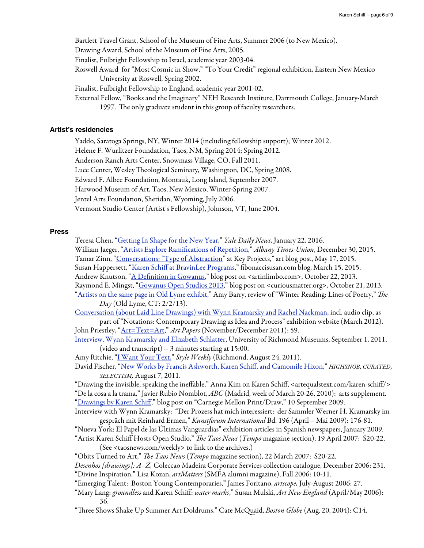Bartlett Travel Grant, School of the Museum of Fine Arts, Summer 2006 (to New Mexico).

Drawing Award, School of the Museum of Fine Arts, 2005.

Finalist, Fulbright Fellowship to Israel, academic year 2003-04.

Roswell Award for "Most Cosmic in Show," "To Your Credit" regional exhibition, Eastern New Mexico University at Roswell, Spring 2002.

Finalist, Fulbright Fellowship to England, academic year 2001-02.

External Fellow, "Books and the Imaginary" NEH Research Institute, Dartmouth College, January-March 1997. The only graduate student in this group of faculty researchers.

#### **Artist's residencies**

Yaddo, Saratoga Springs, NY, Winter 2014 (including fellowship support); Winter 2012.

Helene F. Wurlitzer Foundation, Taos, NM, Spring 2014; Spring 2012.

Anderson Ranch Arts Center, Snowmass Village, CO, Fall 2011.

Luce Center, Wesley Theological Seminary, Washington, DC, Spring 2008.

Edward F. Albee Foundation, Montauk, Long Island, September 2007.

Harwood Museum of Art, Taos, New Mexico, Winter-Spring 2007.

Jentel Arts Foundation, Sheridan, Wyoming, July 2006.

Vermont Studio Center (Artist's Fellowship), Johnson, VT, June 2004.

#### **Press**

Teresa Chen, "[Getting In Shape for the New Year,](http://yaledailynews.com/blog/2016/01/22/getting-in-shape-for-the-new-year/)" *Yale Daily News*, January 22, 2016.

William Jaeger, ["Artists Explore Rami](http://www.timesunion.com/tuplus-features/article/Artists-explore-ramifications-of-repetition-6728259.php%23photo-9180945)fications of Repetition," *Albany Times-Union*, December 30, 2015. Tamar Zinn, "[Conversations: "Type of Abstraction"](http://tamarzinn.blogspot.com/2015/05/conversations-type-of-abstraction-key.html) at Key Projects," art blog post, May 17, 2015.

Susan Happersett, "Karen Schiff [at BravinLee Programs,](http://fibonaccisusan.com/2015/03/15/karen-schiff-at-bravinlee-programs/)" fibonaccisusan.com blog, March 15, 2015.

Andrew Knutson, "A Defi[nition in Gowanus,](http://www.artinlimbo.com/2013/10/22/gos-definition/)" blog post on <artinlimbo.com>, October 22, 2013.

Raymond E. Mingst, ["Gowanus Open Studios 2013,](http://curiousmatter.org/2013/10/gowanus-open-studios-2013/)" blog post on <curiousmatter.org>, October 21, 2013.

["Artists on the same page in Old Lyme exhibit](http://www.theday.com/article/20130202/ENT16/302029986/-1/)," Amy Barry, review of "Winter Reading: Lines of Poetry," T*e Day* (Old Lyme, CT: 2/2/13).

[Conversation \(about Laid Line Drawings\) with Wynn Kramarsky and Rachel Nackman,](http://www.aboutdrawing.org/notations/karen-schiff/) incl. audio clip, as part of "Notations: Contemporary Drawing as Idea and Process" exhibition website (March 2012).

John Priestley, ["Art=Text=Art,](http://johnpriestley.net/portfolio/wp-content/uploads/2012/09/ArtTextArt.pdf)" *Art Papers* (November/December 2011): 59.

[Interview, Wynn Kramarsky and Elizabeth Schlatter,](http://artequalstext.com/interview) University of Richmond Museums, September 1, 2011, (video and transcript) -- 3 minutes starting at 15:00.

Amy Ritchie, ["I Want Your Text,"](http://www.styleweekly.com/richmond/i-want-your-text/Content?oid=1602959) *Style Weekly* (Richmond, August 24, 2011).

David Fischer, ["New Works by Francis Ashworth, Karen Schi](http://www.highsnobiety.com/2011/08/07/new-works-by-francis-ashworth-karen-schiff-and-camomile-hixon/)ff, and Camomile Hixon," *HIGHSNOB*, *CURATED, SELECTISM,* August 7, 2011.

"Drawing the invisible, speaking the ineffable," Anna Kim on Karen Schiff, [<artequalstext.com/karen-schi](http://www.artequalstext.com/karen-schiff/)ff/> "De la cosa a la trama," Javier Rubio Nomblot, *ABC* (Madrid, week of March 20-26, 2010): arts supplement. ["Drawings by Karen Schi](http://printmeow.blogspot.com/2009/09/drawings-by-karen-schiff.html)ff," blog post on "Carnegie Mellon Print/Draw," 10 September 2009.

Interview with Wynn Kramarsky: "Der Prozess hat mich interessiert: der Sammler Werner H. Kramarsky im gespräch mit Reinhard Ermen," *Kunstforum International* Bd. 196 (April – Mai 2009): 176-81.

"Nueva York: El Papel de las Últimas Vanguardias" exhibition articles in Spanish newspapers, January 2009.

"Artist Karen Schiff Hosts Open Studio," T*e Taos News* (*Tempo* magazine section), 19 April 2007: S20-22. (See <taosnews.com/weekly> to link to the archives.)

"Obits Turned to Art," T*e Taos News* (*Tempo* magazine section), 22 March 2007: S20-22.

*Desenhos [drawings]: A–Z,* Coleccao Madeira Corporate Services collection catalogue, December 2006: 231. "Divine Inspiration," Lisa Kozan, *artMatters* (SMFA alumni magazine), Fall 2006: 10-11.

"Emerging Talent: Boston Young Contemporaries," James Foritano, *artscope,* July-August 2006: 27.

"Mary Lang: *groundless* and Karen Schiff: *water marks*," Susan Mulski, *Art New England* (April/May 2006): 36.

"Tree Shows Shake Up Summer Art Doldrums," Cate McQuaid, *Boston Globe* (Aug. 20, 2004): C14.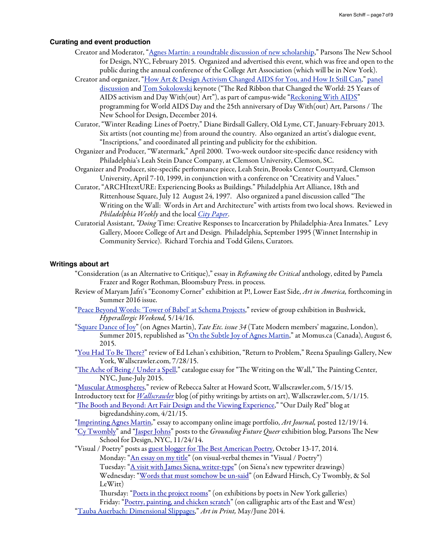#### **Curating and event production**

- Creator and Moderator, "[Agnes Martin: a roundtable discussion of new scholarship](https://www.youtube.com/watch?v=KGIYpo-aWzs)," Parsons The New School for Design, NYC, February 2015. Organized and advertised this event, which was free and open to the public during the annual conference of the College Art Association (which will be in New York).
- Creator and organizer, ["How Art & Design Activism Changed AIDS for You, and How It Still Can](http://events.newschool.edu/event/reckoning_with_aids_how_art_design_activism_changed_aids_for_you_and_how_it_still_can)," [panel](http://events.newschool.edu/event/reckoning_with_aids_how_art_design_activism_changed_aids_for_you_and_how_it_still_can)  [discussion](http://events.newschool.edu/event/reckoning_with_aids_how_art_design_activism_changed_aids_for_you_and_how_it_still_can) and [Tom Sokolowski](http://portfolio.newschool.edu/schiffk/) keynote ("The Red Ribbon that Changed the World: 25 Years of AIDS activism and Day With(out) Art"), as part of campus-wide ["Reckoning With AIDS](http://portfolio.newschool.edu/schiffk/)" programming for World AIDS Day and the 25th anniversary of Day With(out) Art, Parsons / The New School for Design, December 2014.
- Curator, "Winter Reading: Lines of Poetry," Diane Birdsall Gallery, Old Lyme, CT, January-February 2013. Six artists (not counting me) from around the country. Also organized an artist's dialogue event, "Inscriptions," and coordinated all printing and publicity for the exhibition.
- Organizer and Producer, "Watermark," April 2000. Two-week outdoor site-specific dance residency with Philadelphia's Leah Stein Dance Company, at Clemson University, Clemson, SC.
- Organizer and Producer, site-specific performance piece, Leah Stein, Brooks Center Courtyard, Clemson University, April 7-10, 1999, in conjunction with a conference on "Creativity and Values."
- Curator, "ARCHItextURE: Experiencing Books as Buildings." Philadelphia Art Alliance, 18th and Rittenhouse Square, July 12 August 24, 1997. Also organized a panel discussion called "The Writing on the Wall: Words in Art and Architecture" with artists from two local shows. Reviewed in *Philadelphia Weekly* and the local *[City Paper](http://citypaper.net/articles/072497/article002.shtml)*.
- Curatorial Assistant, *"Doing* Time: Creative Responses to Incarceration by Philadelphia-Area Inmates." Levy Gallery, Moore College of Art and Design. Philadelphia, September 1995 (Winnet Internship in Community Service). Richard Torchia and Todd Gilens, Curators.

## **Writings about art**

- "Consideration (as an Alternative to Critique)," essay in *Re*f*aming the Critical* anthology, edited by Pamela Frazer and Roger Rothman, Bloomsbury Press. in process.
- Review of Maryam Jafri's "Economy Corner" exhibition at P!, Lower East Side, *Art in America,* forthcoming in Summer 2016 issue.
- ["Peace Beyond Words: 'Tower of Babel' at Schema Projects](http://hyperallergic.com/298380/peace-beyond-words-tower-of-babel-at-schema-projects/)," review of group exhibition in Bushwick, *Hyperallergic Weekend,* 5/14/16.
- ["Square Dance of Joy](http://issuu.com/cultureshockmedia/docs/tate_etc._magazine_____issue_34/1)" (on Agnes Martin), *Tate Etc. issue 34* (Tate Modern members' magazine, London), Summer 2015, republished as "[On the Subtle Joy of Agnes Martin,](http://momus.ca/on-the-subtle-joy-of-agnes-martin/)" at Momus.ca (Canada), August 6, 2015.
- ["You Had To Be](http://www.wallscrawler.blogspot.com/2015/07/you-had-to-be-there.html) There?" review of Ed Lehan's exhibition, "Return to Problem," Reena Spaulings Gallery, New York, Wallscrawler.com, 7/28/15.
- "Th[e Ache of Being / Under a Spell](http://thepaintingcenter.org/sites/default/files/The%20Writing%20on%20the%20Wall_Catalog.compressed.pdf)," catalogue essay for "The Writing on the Wall," The Painting Center, NYC, June-July 2015.
- ["Muscular Atmospheres,](http://www.wallscrawler.blogspot.com/2015/05/muscular-atmospheres.html)" review of Rebecca Salter at Howard Scott, Wallscrawler.com, 5/15/15.
- Introductory text for *[Wallscrawler](http://www.wallscrawler.blogspot.com/)* blog (of pithy writings by artists on art), Wallscrawler.com, 5/1/15.
- "Th[e Booth and Beyond: Art Fair Design and the Viewing Experience](http://www.bigredandshiny.com/cgi-bin/BRS.cgi?article=2015-03-21-093253659599542789)," "Our Daily Red" blog at bigredandshiny.com, 4/21/15.
- ["Imprinting Agnes Martin](http://artjournal.collegeart.org/?p=5557)," essay to accompany online image portfolio, *Art Journal,* posted 12/19/14.
- ["Cy Twombly](http://groundingfuturequeer.blogspot.com/2014/11/cy-twombly.html%23comment-form)" and "[Jasper Johns"](http://groundingfuturequeer.blogspot.com/2014/11/jasper-johns.html%23comment-form) posts to the *Grounding Future Queer* exhibition blog, Parsons The New School for Design, NYC, 11/24/14.

"Visual / Poetry" posts as guest blogger for Th[e Best American Poetry,](http://blog.bestamericanpoetry.com/the_best_american_poetry/2014/10/karen-schiff-guest-author-october-13-17.html) October 13-17, 2014.

Monday: ["An essay on my title](http://blog.bestamericanpoetry.com/the_best_american_poetry/2014/10/visual-poetry-day-1-an-essay-on-my-title.html)" (on visual-verbal themes in "Visual / Poetry") Tuesday: ["A visit with James Siena, writer-type](http://blog.bestamericanpoetry.com/the_best_american_poetry/2014/10/visual-poetry-day-2-a-visit-with-james-siena-writer-type.html)" (on Siena's new typewriter drawings) Wednesday: "[Words that must somehow be un-said](http://blog.bestamericanpoetry.com/the_best_american_poetry/2014/10/visual-poetry-day-3-words-that-must-somehow-be-not-said.html)" (on Edward Hirsch, Cy Twombly, & Sol LeWitt)

Thursday: "[Poets in the project rooms"](http://blog.bestamericanpoetry.com/the_best_american_poetry/2014/10/visual-poetry-day-4-poet-artists-in-the-back-room-text-art-in-the-front.html) (on exhibitions by poets in New York galleries) Friday: "[Poetry, painting, and chicken scratch"](http://blog.bestamericanpoetry.com/the_best_american_poetry/2014/10/visual-poetry-day-5-ideograms-of-gibberish.html) (on calligraphic arts of the East and West) ["Tauba Auerbach: Dimensional Slippages](http://artinprint.org/article/tauba-auerbach-dimensional-slippages/)," *Art in Print,* May/June 2014.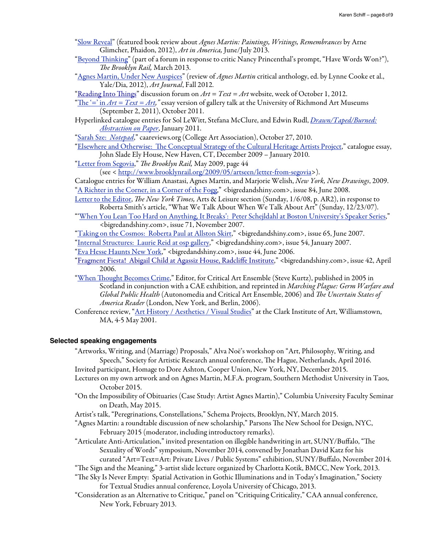- ["Slow Reveal"](http://www.artinamericamagazine.com/news-features/magazine/agnes-martin-paintings-writings-remembrances/) (featured book review about *Agnes Martin: Paintings, Writings, Remembrances* by Arne Glimcher, Phaidon, 2012), *Art in America,* June/July 2013.
- ["Beyond](http://www.brooklynrail.org/2013/03/artseen/beyond-thinking) Tinking" (part of a forum in response to critic Nancy Princenthal's prompt, "Have Words Won?"), T*e Brooklyn Rail,* March 2013.
- ["Agnes Martin, Under New Auspices](http://artjournal.collegeart.org/?p=3354)" (review of *Agnes Martin* critical anthology, ed. by Lynne Cooke et al., Yale/Dia, 2012), *Art Journal*, Fall 2012.
- ["Reading Into](http://www.artequalstext.com/karen-schiff-4/) Things" discussion forum on  $Art = Text = Art$  website, week of October 1, 2012.

"<u>The '=' in *Art* = Text = Art</u>," essay version of gallery talk at the University of Richmond Art Museums (September 2, 2011), October 2011.

- Hyperlinked catalogue entries for Sol LeWitt, Stefana McClure, and Edwin Rudl, *[Drawn/Taped/Burned:](http://drawntapedburned.aboutdrawing.org/category/karen-schiff/)  [Abstraction on Paper](http://drawntapedburned.aboutdrawing.org/category/karen-schiff/)*, January 2011.
- ["Sarah Sze:](http://www.caareviews.org/reviews/1476) *Notepad*," caareviews.org (College Art Association), October 27, 2010.
- "Elsewhere and Otherwise: Th[e Conceptual Strategy of the Cultural Heritage Artists Project](http://www.jeannecriscola.net/pdfs/criscola_chap1.pdf)," catalogue essay, John Slade Ely House, New Haven, CT, December 2009 – January 2010.
- ["Letter from Segovia,](http://www.brooklynrail.org/2009/05/artseen/letter-from-segovia)" T*e Brooklyn Rail,* May 2009, page 44
	- (see < [http://www.brooklynrail.org/2009/05/artseen/letter-from-segovia>](http://www.brooklynrail.org/2009/05/artseen/letter-from-segovia)).
- Catalogue entries for William Anastasi, Agnes Martin, and Marjorie Welish, *New York, New Drawings*, 2009. ["A Richter in the Corner, in a Corner of the Fogg,](http://bigredandshiny.org/268/a-richter-in-the-corner-in-a-corner-of-the-fogg/)" <br/>bigredandshiny.com>, issue 84, June 2008.
- [Letter to the Editor,](http://www.nytimes.com/2008/01/06/arts/06alsmail-RELIGIOUSPRA_LETTERS.html?_r=0) T*e New York Times,* Arts & Leisure section (Sunday, 1/6/08, p. AR2), in response to Roberta Smith's article, "What We Talk About When We Talk About Art" (Sunday, 12/23/07).
- "['When You Lean Too Hard on Anything, It Breaks': Peter Schejldahl at Boston University's Speaker Series,](http://bigredandshiny.org/6605/when-you-lean-too-hard-on-anything-it-breaks-peter-schjeldahl-bus-speaker-series/)" <bigredandshiny.com>, issue 71, November 2007.
- ["Taking on the Cosmos: Roberta Paul at Allston Skirt](http://www.bigredandshiny.com/cgi-bin/BRS.cgi?section=review&issue=65&article=ROBERTA_PAUL_1115423)," <bigredandshiny.com>, issue 65, June 2007.
- ["Internal Structures: Laurie Reid at osp gallery](http://bigredandshiny.org/11707/laurie-reid-osp-gallery/)," <bigredandshiny.com>, issue 54, January 2007.
- ["Eva Hesse Haunts New York](http://bigredandshiny.org/6439/eva-hesse-haunts-new-york/)," <bigredandshiny.com>, issue 44, June 2006.
- ["Fragment Fiesta! Abigail Child at Agassiz House, Radcli](http://bigredandshiny.org/5038/fragment-fiesta-abigail-child-agassiz-house-radcliffe-institute/)ffe Institute," <bigredandshiny.com>, issue 42, April 2006.
- "When Th[ought Becomes Crime,](http://www.caedefensefund.org/thoughtcrime.html)" Editor, for Critical Art Ensemble (Steve Kurtz), published in 2005 in Scotland in conjunction with a CAE exhibition, and reprinted in *Marching Plague: Germ Warfare and Global Public Health* (Autonomedia and Critical Art Ensemble, 2006) and T*e Uncertain States of America Reader* (London, New York, and Berlin, 2006).
- Conference review, "[Art History / Aesthetics / Visual Studies](http://www.h-net.org/reviews/showpdf.php?id=15013)" at the Clark Institute of Art, Williamstown, MA, 4-5 May 2001.

## **Selected speaking engagements**

"Artworks, Writing, and (Marriage) Proposals," Alva Noë's workshop on "Art, Philosophy, Writing, and Speech," Society for Artistic Research annual conference, The Hague, Netherlands, April 2016.

- Invited participant, Homage to Dore Ashton, Cooper Union, New York, NY, December 2015.
- Lectures on my own artwork and on Agnes Martin, M.F.A. program, Southern Methodist University in Taos, October 2015.
- "On the Impossibility of Obituaries (Case Study: Artist Agnes Martin)," Columbia University Faculty Seminar on Death, May 2015.
- Artist's talk, "Peregrinations, Constellations," Schema Projects, Brooklyn, NY, March 2015.
- "Agnes Martin: a roundtable discussion of new scholarship," Parsons The New School for Design, NYC, February 2015 (moderator, including introductory remarks).
- "Articulate Anti-Articulation," invited presentation on illegible handwriting in art, SUNY/Buffalo, "Te Sexuality of Words" symposium, November 2014, convened by Jonathan David Katz for his curated "Art=Text=Art: Private Lives / Public Systems" exhibition, SUNY/Buffalo, November 2014.
- "The Sign and the Meaning," 3-artist slide lecture organized by Charlotta Kotik, BMCC, New York, 2013.
- "Te Sky Is Never Empty: Spatial Activation in Gothic Illuminations and in Today's Imagination," Society for Textual Studies annual conference, Loyola University of Chicago, 2013.
- "Consideration as an Alternative to Critique," panel on "Critiquing Criticality," CAA annual conference, New York, February 2013.